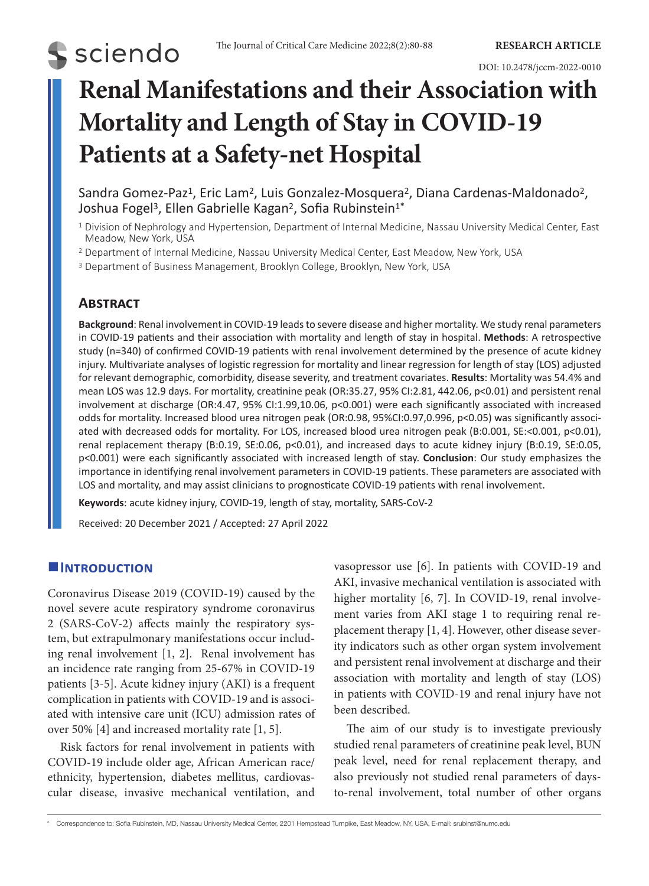#### DOI: 10.2478/jccm-2022-0010

# **Renal Manifestations and their Association with Mortality and Length of Stay in COVID-19 Patients at a Safety-net Hospital**

Sandra Gomez-Paz<sup>1</sup>, Eric Lam<sup>2</sup>, Luis Gonzalez-Mosquera<sup>2</sup>, Diana Cardenas-Maldonado<sup>2</sup>, Joshua Fogel<sup>3</sup>, Ellen Gabrielle Kagan<sup>2</sup>, Sofia Rubinstein<sup>1\*</sup>

- <sup>1</sup> Division of Nephrology and Hypertension, Department of Internal Medicine, Nassau University Medical Center, East Meadow, New York, USA
- <sup>2</sup> Department of Internal Medicine, Nassau University Medical Center, East Meadow, New York, USA

<sup>3</sup> Department of Business Management, Brooklyn College, Brooklyn, New York, USA

# **Abstract**

**S** sciendo

**Background**: Renal involvement in COVID-19 leads to severe disease and higher mortality. We study renal parameters in COVID-19 patients and their association with mortality and length of stay in hospital. **Methods**: A retrospective study (n=340) of confirmed COVID-19 patients with renal involvement determined by the presence of acute kidney injury. Multivariate analyses of logistic regression for mortality and linear regression for length of stay (LOS) adjusted for relevant demographic, comorbidity, disease severity, and treatment covariates. **Results**: Mortality was 54.4% and mean LOS was 12.9 days. For mortality, creatinine peak (OR:35.27, 95% CI:2.81, 442.06, p<0.01) and persistent renal involvement at discharge (OR:4.47, 95% CI:1.99,10.06, p<0.001) were each significantly associated with increased odds for mortality. Increased blood urea nitrogen peak (OR:0.98, 95%CI:0.97,0.996, p<0.05) was significantly associated with decreased odds for mortality. For LOS, increased blood urea nitrogen peak (B:0.001, SE:<0.001, p<0.01), renal replacement therapy (B:0.19, SE:0.06, p<0.01), and increased days to acute kidney injury (B:0.19, SE:0.05, p<0.001) were each significantly associated with increased length of stay. **Conclusion**: Our study emphasizes the importance in identifying renal involvement parameters in COVID-19 patients. These parameters are associated with LOS and mortality, and may assist clinicians to prognosticate COVID-19 patients with renal involvement.

**Keywords**: acute kidney injury, COVID-19, length of stay, mortality, SARS-CoV-2

Received: 20 December 2021 / Accepted: 27 April 2022

# **Introduction**

Coronavirus Disease 2019 (COVID-19) caused by the novel severe acute respiratory syndrome coronavirus 2 (SARS-CoV-2) affects mainly the respiratory system, but extrapulmonary manifestations occur including renal involvement [1, 2]. Renal involvement has an incidence rate ranging from 25-67% in COVID-19 patients [3-5]. Acute kidney injury (AKI) is a frequent complication in patients with COVID-19 and is associated with intensive care unit (ICU) admission rates of over 50% [4] and increased mortality rate [1, 5].

Risk factors for renal involvement in patients with COVID-19 include older age, African American race/ ethnicity, hypertension, diabetes mellitus, cardiovascular disease, invasive mechanical ventilation, and vasopressor use [6]. In patients with COVID-19 and AKI, invasive mechanical ventilation is associated with higher mortality [6, 7]. In COVID-19, renal involvement varies from AKI stage 1 to requiring renal replacement therapy [1, 4]. However, other disease severity indicators such as other organ system involvement and persistent renal involvement at discharge and their association with mortality and length of stay (LOS) in patients with COVID-19 and renal injury have not been described.

The aim of our study is to investigate previously studied renal parameters of creatinine peak level, BUN peak level, need for renal replacement therapy, and also previously not studied renal parameters of daysto-renal involvement, total number of other organs

<sup>\*</sup> Correspondence to: Sofia Rubinstein, MD, Nassau University Medical Center, 2201 Hempstead Turnpike, East Meadow, NY, USA. E-mail: srubinst@numc.edu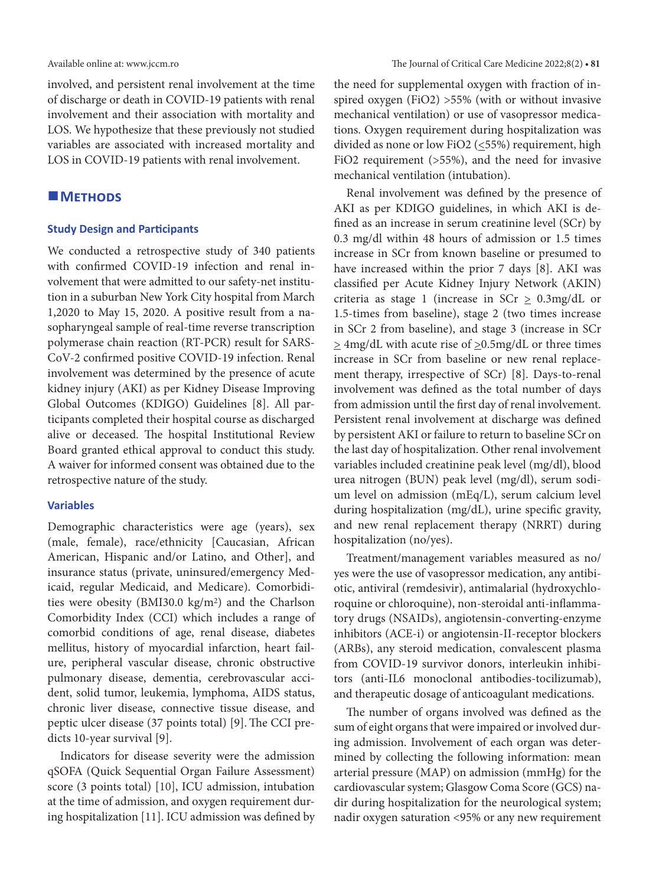involved, and persistent renal involvement at the time of discharge or death in COVID-19 patients with renal involvement and their association with mortality and LOS. We hypothesize that these previously not studied variables are associated with increased mortality and LOS in COVID-19 patients with renal involvement.

## **METHODS**

#### **Study Design and Participants**

We conducted a retrospective study of 340 patients with confirmed COVID-19 infection and renal involvement that were admitted to our safety-net institution in a suburban New York City hospital from March 1,2020 to May 15, 2020. A positive result from a nasopharyngeal sample of real-time reverse transcription polymerase chain reaction (RT-PCR) result for SARS-CoV-2 confirmed positive COVID-19 infection. Renal involvement was determined by the presence of acute kidney injury (AKI) as per Kidney Disease Improving Global Outcomes (KDIGO) Guidelines [8]. All participants completed their hospital course as discharged alive or deceased. The hospital Institutional Review Board granted ethical approval to conduct this study. A waiver for informed consent was obtained due to the retrospective nature of the study.

## **Variables**

Demographic characteristics were age (years), sex (male, female), race/ethnicity [Caucasian, African American, Hispanic and/or Latino, and Other], and insurance status (private, uninsured/emergency Medicaid, regular Medicaid, and Medicare). Comorbidities were obesity (BMI30.0 kg/m<sup>2</sup>) and the Charlson Comorbidity Index (CCI) which includes a range of comorbid conditions of age, renal disease, diabetes mellitus, history of myocardial infarction, heart failure, peripheral vascular disease, chronic obstructive pulmonary disease, dementia, cerebrovascular accident, solid tumor, leukemia, lymphoma, AIDS status, chronic liver disease, connective tissue disease, and peptic ulcer disease (37 points total) [9].The CCI predicts 10-year survival [9].

Indicators for disease severity were the admission qSOFA (Quick Sequential Organ Failure Assessment) score (3 points total) [10], ICU admission, intubation at the time of admission, and oxygen requirement during hospitalization [11]. ICU admission was defined by the need for supplemental oxygen with fraction of inspired oxygen (FiO2) >55% (with or without invasive mechanical ventilation) or use of vasopressor medications. Oxygen requirement during hospitalization was divided as none or low FiO2 (<55%) requirement, high FiO2 requirement (>55%), and the need for invasive mechanical ventilation (intubation).

Renal involvement was defined by the presence of AKI as per KDIGO guidelines, in which AKI is defined as an increase in serum creatinine level (SCr) by 0.3 mg/dl within 48 hours of admission or 1.5 times increase in SCr from known baseline or presumed to have increased within the prior 7 days [8]. AKI was classified per Acute Kidney Injury Network (AKIN) criteria as stage 1 (increase in SCr  $\geq$  0.3mg/dL or 1.5-times from baseline), stage 2 (two times increase in SCr 2 from baseline), and stage 3 (increase in SCr  $\geq$  4mg/dL with acute rise of  $\geq$ 0.5mg/dL or three times increase in SCr from baseline or new renal replacement therapy, irrespective of SCr) [8]. Days-to-renal involvement was defined as the total number of days from admission until the first day of renal involvement. Persistent renal involvement at discharge was defined by persistent AKI or failure to return to baseline SCr on the last day of hospitalization. Other renal involvement variables included creatinine peak level (mg/dl), blood urea nitrogen (BUN) peak level (mg/dl), serum sodium level on admission (mEq/L), serum calcium level during hospitalization (mg/dL), urine specific gravity, and new renal replacement therapy (NRRT) during hospitalization (no/yes).

Treatment/management variables measured as no/ yes were the use of vasopressor medication, any antibiotic, antiviral (remdesivir), antimalarial (hydroxychloroquine or chloroquine), non-steroidal anti-inflammatory drugs (NSAIDs), angiotensin-converting-enzyme inhibitors (ACE-i) or angiotensin-II-receptor blockers (ARBs), any steroid medication, convalescent plasma from COVID-19 survivor donors, interleukin inhibitors (anti-IL6 monoclonal antibodies-tocilizumab), and therapeutic dosage of anticoagulant medications.

The number of organs involved was defined as the sum of eight organs that were impaired or involved during admission. Involvement of each organ was determined by collecting the following information: mean arterial pressure (MAP) on admission (mmHg) for the cardiovascular system; Glasgow Coma Score (GCS) nadir during hospitalization for the neurological system; nadir oxygen saturation <95% or any new requirement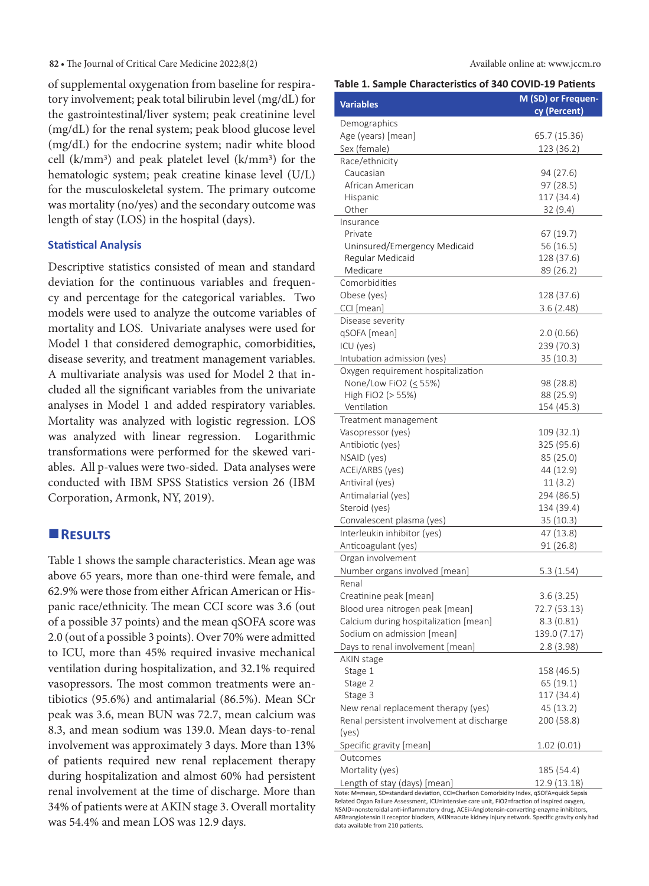#### **82 •** The Journal of Critical Care Medicine 2022;8(2) Available online at: www.jccm.ro

of supplemental oxygenation from baseline for respiratory involvement; peak total bilirubin level (mg/dL) for the gastrointestinal/liver system; peak creatinine level (mg/dL) for the renal system; peak blood glucose level (mg/dL) for the endocrine system; nadir white blood cell (k/mm3) and peak platelet level (k/mm3) for the hematologic system; peak creatine kinase level (U/L) for the musculoskeletal system. The primary outcome was mortality (no/yes) and the secondary outcome was length of stay (LOS) in the hospital (days).

## **Statistical Analysis**

Descriptive statistics consisted of mean and standard deviation for the continuous variables and frequency and percentage for the categorical variables. Two models were used to analyze the outcome variables of mortality and LOS. Univariate analyses were used for Model 1 that considered demographic, comorbidities, disease severity, and treatment management variables. A multivariate analysis was used for Model 2 that included all the significant variables from the univariate analyses in Model 1 and added respiratory variables. Mortality was analyzed with logistic regression. LOS was analyzed with linear regression. Logarithmic transformations were performed for the skewed variables. All p-values were two-sided. Data analyses were conducted with IBM SPSS Statistics version 26 (IBM Corporation, Armonk, NY, 2019).

## **Results**

Table 1 shows the sample characteristics. Mean age was above 65 years, more than one-third were female, and 62.9% were those from either African American or Hispanic race/ethnicity. The mean CCI score was 3.6 (out of a possible 37 points) and the mean qSOFA score was 2.0 (out of a possible 3 points). Over 70% were admitted to ICU, more than 45% required invasive mechanical ventilation during hospitalization, and 32.1% required vasopressors. The most common treatments were antibiotics (95.6%) and antimalarial (86.5%). Mean SCr peak was 3.6, mean BUN was 72.7, mean calcium was 8.3, and mean sodium was 139.0. Mean days-to-renal involvement was approximately 3 days. More than 13% of patients required new renal replacement therapy during hospitalization and almost 60% had persistent renal involvement at the time of discharge. More than 34% of patients were at AKIN stage 3. Overall mortality was 54.4% and mean LOS was 12.9 days.

| rable 1. Sample Characteristics of 340 COVID-19 Patients                                |                    |
|-----------------------------------------------------------------------------------------|--------------------|
| <b>Variables</b>                                                                        | M (SD) or Frequen- |
|                                                                                         | cy (Percent)       |
| Demographics                                                                            |                    |
| Age (years) [mean]                                                                      | 65.7 (15.36)       |
| Sex (female)                                                                            | 123 (36.2)         |
| Race/ethnicity<br>Caucasian                                                             | 94 (27.6)          |
| African American                                                                        | 97 (28.5)          |
| Hispanic                                                                                | 117 (34.4)         |
| Other                                                                                   | 32(9.4)            |
| Insurance                                                                               |                    |
| Private                                                                                 | 67 (19.7)          |
| Uninsured/Emergency Medicaid                                                            | 56(16.5)           |
| Regular Medicaid                                                                        | 128 (37.6)         |
| Medicare                                                                                | 89 (26.2)          |
| Comorbidities                                                                           |                    |
| Obese (yes)                                                                             | 128 (37.6)         |
| CCI [mean]                                                                              | 3.6(2.48)          |
| Disease severity                                                                        |                    |
| qSOFA [mean]                                                                            | 2.0(0.66)          |
| ICU (yes)                                                                               | 239 (70.3)         |
| Intubation admission (yes)                                                              | 35 (10.3)          |
| Oxygen requirement hospitalization                                                      |                    |
| None/Low FiO2 (< 55%)                                                                   | 98 (28.8)          |
| High FiO2 (> 55%)                                                                       | 88 (25.9)          |
| Ventilation                                                                             | 154 (45.3)         |
| Treatment management                                                                    |                    |
| Vasopressor (yes)                                                                       | 109 (32.1)         |
| Antibiotic (yes)                                                                        | 325 (95.6)         |
| NSAID (yes)                                                                             | 85 (25.0)          |
| ACEi/ARBS (yes)                                                                         | 44 (12.9)          |
| Antiviral (yes)                                                                         | 11(3.2)            |
| Antimalarial (yes)                                                                      | 294 (86.5)         |
| Steroid (yes)                                                                           | 134 (39.4)         |
| Convalescent plasma (yes)                                                               | 35(10.3)           |
| Interleukin inhibitor (yes)                                                             | 47 (13.8)          |
| Anticoagulant (yes)                                                                     | 91 (26.8)          |
| Organ involvement                                                                       |                    |
| Number organs involved [mean]                                                           | 5.3(1.54)          |
| Renal                                                                                   |                    |
| Creatinine peak [mean]                                                                  | 3.6(3.25)          |
| Blood urea nitrogen peak [mean]                                                         | 72.7 (53.13)       |
| Calcium during hospitalization [mean]                                                   | 8.3 (0.81)         |
| Sodium on admission [mean]                                                              | 139.0 (7.17)       |
| Days to renal involvement [mean]                                                        | 2.8(3.98)          |
| AKIN stage                                                                              |                    |
| Stage 1                                                                                 | 158 (46.5)         |
| Stage 2                                                                                 | 65(19.1)           |
| Stage 3                                                                                 | 117 (34.4)         |
| New renal replacement therapy (yes)                                                     | 45 (13.2)          |
| Renal persistent involvement at discharge                                               | 200 (58.8)         |
| (yes)                                                                                   |                    |
| Specific gravity [mean]                                                                 | 1.02 (0.01)        |
| Outcomes                                                                                |                    |
| Mortality (yes)                                                                         | 185 (54.4)         |
| Length of stay (days) [mean]                                                            | 12.9 (13.18)       |
| Note: M=mean, SD=standard deviation, CCI=Charlson Comorbidity Index, qSOFA=quick Sepsis |                    |

Related Organ Failure Assessment, ICU=intensive care unit, FiO2=fraction of inspired oxygen NSAID=nonsteroidal anti-inflammatory drug, ACEi=Angiotensin-converting-enzyme inhibitors, ARB=angiotensin II receptor blockers, AKIN=acute kidney injury network. Specific gravity only had data available from 210 patients.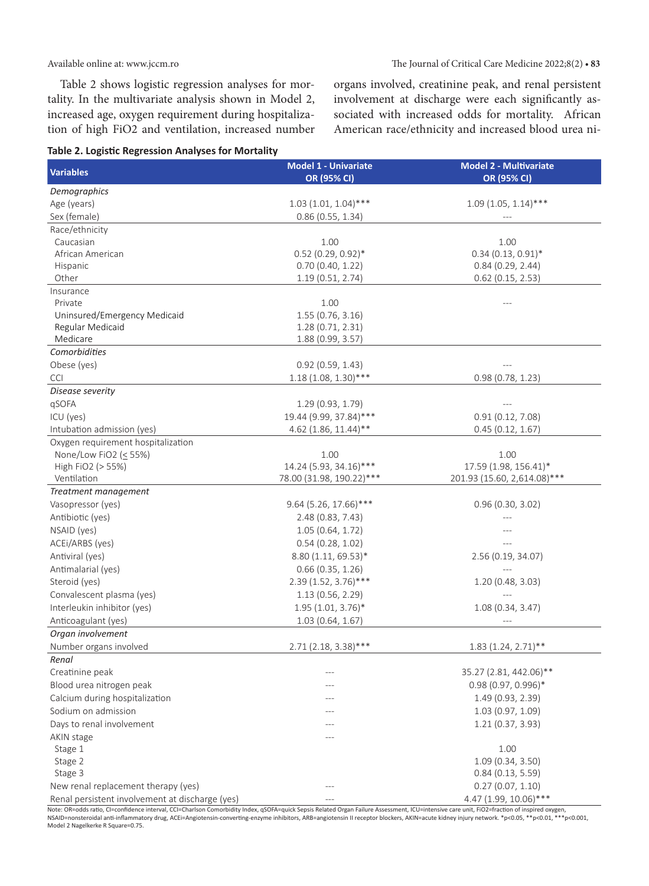Table 2 shows logistic regression analyses for mortality. In the multivariate analysis shown in Model 2, increased age, oxygen requirement during hospitalization of high FiO2 and ventilation, increased number organs involved, creatinine peak, and renal persistent involvement at discharge were each significantly associated with increased odds for mortality. African American race/ethnicity and increased blood urea ni-



| Demographics<br>Age (years)<br>$1.03(1.01, 1.04)$ ***<br>$1.09(1.05, 1.14)$ ***<br>Sex (female)<br>0.86(0.55, 1.34)<br>Race/ethnicity<br>1.00<br>1.00<br>Caucasian<br>$0.52$ (0.29, 0.92)*<br>$0.34(0.13, 0.91)^*$<br>African American<br>Hispanic<br>0.70(0.40, 1.22)<br>0.84(0.29, 2.44)<br>Other<br>1.19(0.51, 2.74)<br>$0.62$ (0.15, 2.53)<br>Insurance<br>1.00<br>Private<br>1.55(0.76, 3.16)<br>Uninsured/Emergency Medicaid<br>Regular Medicaid<br>1.28 (0.71, 2.31)<br>Medicare<br>1.88(0.99, 3.57)<br>Comorbidities<br>Obese (yes)<br>0.92(0.59, 1.43)<br>$1.18(1.08, 1.30)$ ***<br><b>CCI</b><br>0.98(0.78, 1.23)<br>Disease severity<br>qSOFA<br>1.29(0.93, 1.79)<br>19.44 (9.99, 37.84)***<br>ICU (yes)<br>0.91(0.12, 7.08)<br>4.62 (1.86, 11.44)**<br>0.45(0.12, 1.67)<br>Intubation admission (yes)<br>Oxygen requirement hospitalization<br>None/Low FiO2 ( $\leq$ 55%)<br>1.00<br>1.00<br>14.24 (5.93, 34.16)***<br>High FiO2 (> 55%)<br>17.59 (1.98, 156.41)*<br>Ventilation<br>78.00 (31.98, 190.22)***<br>201.93 (15.60, 2,614.08)***<br>Treatment management<br>Vasopressor (yes)<br>9.64 (5.26, 17.66)***<br>0.96(0.30, 3.02)<br>Antibiotic (yes)<br>2.48 (0.83, 7.43)<br>NSAID (yes)<br>1.05 (0.64, 1.72)<br>ACEI/ARBS (yes)<br>0.54(0.28, 1.02)<br>Antiviral (yes)<br>8.80 (1.11, 69.53)*<br>2.56 (0.19, 34.07)<br>Antimalarial (yes)<br>0.66(0.35, 1.26)<br>Steroid (yes)<br>2.39 (1.52, 3.76)***<br>1.20 (0.48, 3.03)<br>Convalescent plasma (yes)<br>1.13(0.56, 2.29)<br>Interleukin inhibitor (yes)<br>$1.95(1.01, 3.76)^*$<br>1.08(0.34, 3.47)<br>Anticoagulant (yes)<br>1.03(0.64, 1.67)<br>Organ involvement<br>Number organs involved<br>2.71 (2.18, 3.38)***<br>$1.83(1.24, 2.71)$ **<br>Renal<br>35.27 (2.81, 442.06)**<br>Creatinine peak<br>0.98 (0.97, 0.996)*<br>Blood urea nitrogen peak<br>Calcium during hospitalization<br>1.49(0.93, 2.39)<br>Sodium on admission<br>1.03(0.97, 1.09)<br>Days to renal involvement<br>1.21(0.37, 3.93)<br>AKIN stage<br>1.00<br>Stage 1<br>1.09(0.34, 3.50)<br>Stage 2<br>Stage 3<br>0.84(0.13, 5.59)<br>0.27(0.07, 1.10)<br>New renal replacement therapy (yes)<br>--- | <b>Variables</b>                                | <b>Model 1 - Univariate</b><br>OR (95% CI) | <b>Model 2 - Multivariate</b><br>OR (95% CI) |
|---------------------------------------------------------------------------------------------------------------------------------------------------------------------------------------------------------------------------------------------------------------------------------------------------------------------------------------------------------------------------------------------------------------------------------------------------------------------------------------------------------------------------------------------------------------------------------------------------------------------------------------------------------------------------------------------------------------------------------------------------------------------------------------------------------------------------------------------------------------------------------------------------------------------------------------------------------------------------------------------------------------------------------------------------------------------------------------------------------------------------------------------------------------------------------------------------------------------------------------------------------------------------------------------------------------------------------------------------------------------------------------------------------------------------------------------------------------------------------------------------------------------------------------------------------------------------------------------------------------------------------------------------------------------------------------------------------------------------------------------------------------------------------------------------------------------------------------------------------------------------------------------------------------------------------------------------------------------------------------------------------------------------------------------------------------------------------------------------------------------------------------------------|-------------------------------------------------|--------------------------------------------|----------------------------------------------|
|                                                                                                                                                                                                                                                                                                                                                                                                                                                                                                                                                                                                                                                                                                                                                                                                                                                                                                                                                                                                                                                                                                                                                                                                                                                                                                                                                                                                                                                                                                                                                                                                                                                                                                                                                                                                                                                                                                                                                                                                                                                                                                                                                   |                                                 |                                            |                                              |
|                                                                                                                                                                                                                                                                                                                                                                                                                                                                                                                                                                                                                                                                                                                                                                                                                                                                                                                                                                                                                                                                                                                                                                                                                                                                                                                                                                                                                                                                                                                                                                                                                                                                                                                                                                                                                                                                                                                                                                                                                                                                                                                                                   |                                                 |                                            |                                              |
|                                                                                                                                                                                                                                                                                                                                                                                                                                                                                                                                                                                                                                                                                                                                                                                                                                                                                                                                                                                                                                                                                                                                                                                                                                                                                                                                                                                                                                                                                                                                                                                                                                                                                                                                                                                                                                                                                                                                                                                                                                                                                                                                                   |                                                 |                                            |                                              |
|                                                                                                                                                                                                                                                                                                                                                                                                                                                                                                                                                                                                                                                                                                                                                                                                                                                                                                                                                                                                                                                                                                                                                                                                                                                                                                                                                                                                                                                                                                                                                                                                                                                                                                                                                                                                                                                                                                                                                                                                                                                                                                                                                   |                                                 |                                            |                                              |
|                                                                                                                                                                                                                                                                                                                                                                                                                                                                                                                                                                                                                                                                                                                                                                                                                                                                                                                                                                                                                                                                                                                                                                                                                                                                                                                                                                                                                                                                                                                                                                                                                                                                                                                                                                                                                                                                                                                                                                                                                                                                                                                                                   |                                                 |                                            |                                              |
|                                                                                                                                                                                                                                                                                                                                                                                                                                                                                                                                                                                                                                                                                                                                                                                                                                                                                                                                                                                                                                                                                                                                                                                                                                                                                                                                                                                                                                                                                                                                                                                                                                                                                                                                                                                                                                                                                                                                                                                                                                                                                                                                                   |                                                 |                                            |                                              |
|                                                                                                                                                                                                                                                                                                                                                                                                                                                                                                                                                                                                                                                                                                                                                                                                                                                                                                                                                                                                                                                                                                                                                                                                                                                                                                                                                                                                                                                                                                                                                                                                                                                                                                                                                                                                                                                                                                                                                                                                                                                                                                                                                   |                                                 |                                            |                                              |
|                                                                                                                                                                                                                                                                                                                                                                                                                                                                                                                                                                                                                                                                                                                                                                                                                                                                                                                                                                                                                                                                                                                                                                                                                                                                                                                                                                                                                                                                                                                                                                                                                                                                                                                                                                                                                                                                                                                                                                                                                                                                                                                                                   |                                                 |                                            |                                              |
|                                                                                                                                                                                                                                                                                                                                                                                                                                                                                                                                                                                                                                                                                                                                                                                                                                                                                                                                                                                                                                                                                                                                                                                                                                                                                                                                                                                                                                                                                                                                                                                                                                                                                                                                                                                                                                                                                                                                                                                                                                                                                                                                                   |                                                 |                                            |                                              |
|                                                                                                                                                                                                                                                                                                                                                                                                                                                                                                                                                                                                                                                                                                                                                                                                                                                                                                                                                                                                                                                                                                                                                                                                                                                                                                                                                                                                                                                                                                                                                                                                                                                                                                                                                                                                                                                                                                                                                                                                                                                                                                                                                   |                                                 |                                            |                                              |
|                                                                                                                                                                                                                                                                                                                                                                                                                                                                                                                                                                                                                                                                                                                                                                                                                                                                                                                                                                                                                                                                                                                                                                                                                                                                                                                                                                                                                                                                                                                                                                                                                                                                                                                                                                                                                                                                                                                                                                                                                                                                                                                                                   |                                                 |                                            |                                              |
|                                                                                                                                                                                                                                                                                                                                                                                                                                                                                                                                                                                                                                                                                                                                                                                                                                                                                                                                                                                                                                                                                                                                                                                                                                                                                                                                                                                                                                                                                                                                                                                                                                                                                                                                                                                                                                                                                                                                                                                                                                                                                                                                                   |                                                 |                                            |                                              |
|                                                                                                                                                                                                                                                                                                                                                                                                                                                                                                                                                                                                                                                                                                                                                                                                                                                                                                                                                                                                                                                                                                                                                                                                                                                                                                                                                                                                                                                                                                                                                                                                                                                                                                                                                                                                                                                                                                                                                                                                                                                                                                                                                   |                                                 |                                            |                                              |
|                                                                                                                                                                                                                                                                                                                                                                                                                                                                                                                                                                                                                                                                                                                                                                                                                                                                                                                                                                                                                                                                                                                                                                                                                                                                                                                                                                                                                                                                                                                                                                                                                                                                                                                                                                                                                                                                                                                                                                                                                                                                                                                                                   |                                                 |                                            |                                              |
|                                                                                                                                                                                                                                                                                                                                                                                                                                                                                                                                                                                                                                                                                                                                                                                                                                                                                                                                                                                                                                                                                                                                                                                                                                                                                                                                                                                                                                                                                                                                                                                                                                                                                                                                                                                                                                                                                                                                                                                                                                                                                                                                                   |                                                 |                                            |                                              |
|                                                                                                                                                                                                                                                                                                                                                                                                                                                                                                                                                                                                                                                                                                                                                                                                                                                                                                                                                                                                                                                                                                                                                                                                                                                                                                                                                                                                                                                                                                                                                                                                                                                                                                                                                                                                                                                                                                                                                                                                                                                                                                                                                   |                                                 |                                            |                                              |
|                                                                                                                                                                                                                                                                                                                                                                                                                                                                                                                                                                                                                                                                                                                                                                                                                                                                                                                                                                                                                                                                                                                                                                                                                                                                                                                                                                                                                                                                                                                                                                                                                                                                                                                                                                                                                                                                                                                                                                                                                                                                                                                                                   |                                                 |                                            |                                              |
|                                                                                                                                                                                                                                                                                                                                                                                                                                                                                                                                                                                                                                                                                                                                                                                                                                                                                                                                                                                                                                                                                                                                                                                                                                                                                                                                                                                                                                                                                                                                                                                                                                                                                                                                                                                                                                                                                                                                                                                                                                                                                                                                                   |                                                 |                                            |                                              |
|                                                                                                                                                                                                                                                                                                                                                                                                                                                                                                                                                                                                                                                                                                                                                                                                                                                                                                                                                                                                                                                                                                                                                                                                                                                                                                                                                                                                                                                                                                                                                                                                                                                                                                                                                                                                                                                                                                                                                                                                                                                                                                                                                   |                                                 |                                            |                                              |
|                                                                                                                                                                                                                                                                                                                                                                                                                                                                                                                                                                                                                                                                                                                                                                                                                                                                                                                                                                                                                                                                                                                                                                                                                                                                                                                                                                                                                                                                                                                                                                                                                                                                                                                                                                                                                                                                                                                                                                                                                                                                                                                                                   |                                                 |                                            |                                              |
|                                                                                                                                                                                                                                                                                                                                                                                                                                                                                                                                                                                                                                                                                                                                                                                                                                                                                                                                                                                                                                                                                                                                                                                                                                                                                                                                                                                                                                                                                                                                                                                                                                                                                                                                                                                                                                                                                                                                                                                                                                                                                                                                                   |                                                 |                                            |                                              |
|                                                                                                                                                                                                                                                                                                                                                                                                                                                                                                                                                                                                                                                                                                                                                                                                                                                                                                                                                                                                                                                                                                                                                                                                                                                                                                                                                                                                                                                                                                                                                                                                                                                                                                                                                                                                                                                                                                                                                                                                                                                                                                                                                   |                                                 |                                            |                                              |
|                                                                                                                                                                                                                                                                                                                                                                                                                                                                                                                                                                                                                                                                                                                                                                                                                                                                                                                                                                                                                                                                                                                                                                                                                                                                                                                                                                                                                                                                                                                                                                                                                                                                                                                                                                                                                                                                                                                                                                                                                                                                                                                                                   |                                                 |                                            |                                              |
|                                                                                                                                                                                                                                                                                                                                                                                                                                                                                                                                                                                                                                                                                                                                                                                                                                                                                                                                                                                                                                                                                                                                                                                                                                                                                                                                                                                                                                                                                                                                                                                                                                                                                                                                                                                                                                                                                                                                                                                                                                                                                                                                                   |                                                 |                                            |                                              |
|                                                                                                                                                                                                                                                                                                                                                                                                                                                                                                                                                                                                                                                                                                                                                                                                                                                                                                                                                                                                                                                                                                                                                                                                                                                                                                                                                                                                                                                                                                                                                                                                                                                                                                                                                                                                                                                                                                                                                                                                                                                                                                                                                   |                                                 |                                            |                                              |
|                                                                                                                                                                                                                                                                                                                                                                                                                                                                                                                                                                                                                                                                                                                                                                                                                                                                                                                                                                                                                                                                                                                                                                                                                                                                                                                                                                                                                                                                                                                                                                                                                                                                                                                                                                                                                                                                                                                                                                                                                                                                                                                                                   |                                                 |                                            |                                              |
|                                                                                                                                                                                                                                                                                                                                                                                                                                                                                                                                                                                                                                                                                                                                                                                                                                                                                                                                                                                                                                                                                                                                                                                                                                                                                                                                                                                                                                                                                                                                                                                                                                                                                                                                                                                                                                                                                                                                                                                                                                                                                                                                                   |                                                 |                                            |                                              |
|                                                                                                                                                                                                                                                                                                                                                                                                                                                                                                                                                                                                                                                                                                                                                                                                                                                                                                                                                                                                                                                                                                                                                                                                                                                                                                                                                                                                                                                                                                                                                                                                                                                                                                                                                                                                                                                                                                                                                                                                                                                                                                                                                   |                                                 |                                            |                                              |
|                                                                                                                                                                                                                                                                                                                                                                                                                                                                                                                                                                                                                                                                                                                                                                                                                                                                                                                                                                                                                                                                                                                                                                                                                                                                                                                                                                                                                                                                                                                                                                                                                                                                                                                                                                                                                                                                                                                                                                                                                                                                                                                                                   |                                                 |                                            |                                              |
|                                                                                                                                                                                                                                                                                                                                                                                                                                                                                                                                                                                                                                                                                                                                                                                                                                                                                                                                                                                                                                                                                                                                                                                                                                                                                                                                                                                                                                                                                                                                                                                                                                                                                                                                                                                                                                                                                                                                                                                                                                                                                                                                                   |                                                 |                                            |                                              |
|                                                                                                                                                                                                                                                                                                                                                                                                                                                                                                                                                                                                                                                                                                                                                                                                                                                                                                                                                                                                                                                                                                                                                                                                                                                                                                                                                                                                                                                                                                                                                                                                                                                                                                                                                                                                                                                                                                                                                                                                                                                                                                                                                   |                                                 |                                            |                                              |
|                                                                                                                                                                                                                                                                                                                                                                                                                                                                                                                                                                                                                                                                                                                                                                                                                                                                                                                                                                                                                                                                                                                                                                                                                                                                                                                                                                                                                                                                                                                                                                                                                                                                                                                                                                                                                                                                                                                                                                                                                                                                                                                                                   |                                                 |                                            |                                              |
|                                                                                                                                                                                                                                                                                                                                                                                                                                                                                                                                                                                                                                                                                                                                                                                                                                                                                                                                                                                                                                                                                                                                                                                                                                                                                                                                                                                                                                                                                                                                                                                                                                                                                                                                                                                                                                                                                                                                                                                                                                                                                                                                                   |                                                 |                                            |                                              |
|                                                                                                                                                                                                                                                                                                                                                                                                                                                                                                                                                                                                                                                                                                                                                                                                                                                                                                                                                                                                                                                                                                                                                                                                                                                                                                                                                                                                                                                                                                                                                                                                                                                                                                                                                                                                                                                                                                                                                                                                                                                                                                                                                   |                                                 |                                            |                                              |
|                                                                                                                                                                                                                                                                                                                                                                                                                                                                                                                                                                                                                                                                                                                                                                                                                                                                                                                                                                                                                                                                                                                                                                                                                                                                                                                                                                                                                                                                                                                                                                                                                                                                                                                                                                                                                                                                                                                                                                                                                                                                                                                                                   |                                                 |                                            |                                              |
|                                                                                                                                                                                                                                                                                                                                                                                                                                                                                                                                                                                                                                                                                                                                                                                                                                                                                                                                                                                                                                                                                                                                                                                                                                                                                                                                                                                                                                                                                                                                                                                                                                                                                                                                                                                                                                                                                                                                                                                                                                                                                                                                                   |                                                 |                                            |                                              |
|                                                                                                                                                                                                                                                                                                                                                                                                                                                                                                                                                                                                                                                                                                                                                                                                                                                                                                                                                                                                                                                                                                                                                                                                                                                                                                                                                                                                                                                                                                                                                                                                                                                                                                                                                                                                                                                                                                                                                                                                                                                                                                                                                   |                                                 |                                            |                                              |
|                                                                                                                                                                                                                                                                                                                                                                                                                                                                                                                                                                                                                                                                                                                                                                                                                                                                                                                                                                                                                                                                                                                                                                                                                                                                                                                                                                                                                                                                                                                                                                                                                                                                                                                                                                                                                                                                                                                                                                                                                                                                                                                                                   |                                                 |                                            |                                              |
|                                                                                                                                                                                                                                                                                                                                                                                                                                                                                                                                                                                                                                                                                                                                                                                                                                                                                                                                                                                                                                                                                                                                                                                                                                                                                                                                                                                                                                                                                                                                                                                                                                                                                                                                                                                                                                                                                                                                                                                                                                                                                                                                                   |                                                 |                                            |                                              |
|                                                                                                                                                                                                                                                                                                                                                                                                                                                                                                                                                                                                                                                                                                                                                                                                                                                                                                                                                                                                                                                                                                                                                                                                                                                                                                                                                                                                                                                                                                                                                                                                                                                                                                                                                                                                                                                                                                                                                                                                                                                                                                                                                   |                                                 |                                            |                                              |
|                                                                                                                                                                                                                                                                                                                                                                                                                                                                                                                                                                                                                                                                                                                                                                                                                                                                                                                                                                                                                                                                                                                                                                                                                                                                                                                                                                                                                                                                                                                                                                                                                                                                                                                                                                                                                                                                                                                                                                                                                                                                                                                                                   |                                                 |                                            |                                              |
|                                                                                                                                                                                                                                                                                                                                                                                                                                                                                                                                                                                                                                                                                                                                                                                                                                                                                                                                                                                                                                                                                                                                                                                                                                                                                                                                                                                                                                                                                                                                                                                                                                                                                                                                                                                                                                                                                                                                                                                                                                                                                                                                                   |                                                 |                                            |                                              |
|                                                                                                                                                                                                                                                                                                                                                                                                                                                                                                                                                                                                                                                                                                                                                                                                                                                                                                                                                                                                                                                                                                                                                                                                                                                                                                                                                                                                                                                                                                                                                                                                                                                                                                                                                                                                                                                                                                                                                                                                                                                                                                                                                   |                                                 |                                            |                                              |
|                                                                                                                                                                                                                                                                                                                                                                                                                                                                                                                                                                                                                                                                                                                                                                                                                                                                                                                                                                                                                                                                                                                                                                                                                                                                                                                                                                                                                                                                                                                                                                                                                                                                                                                                                                                                                                                                                                                                                                                                                                                                                                                                                   |                                                 |                                            |                                              |
|                                                                                                                                                                                                                                                                                                                                                                                                                                                                                                                                                                                                                                                                                                                                                                                                                                                                                                                                                                                                                                                                                                                                                                                                                                                                                                                                                                                                                                                                                                                                                                                                                                                                                                                                                                                                                                                                                                                                                                                                                                                                                                                                                   |                                                 |                                            |                                              |
|                                                                                                                                                                                                                                                                                                                                                                                                                                                                                                                                                                                                                                                                                                                                                                                                                                                                                                                                                                                                                                                                                                                                                                                                                                                                                                                                                                                                                                                                                                                                                                                                                                                                                                                                                                                                                                                                                                                                                                                                                                                                                                                                                   |                                                 |                                            |                                              |
|                                                                                                                                                                                                                                                                                                                                                                                                                                                                                                                                                                                                                                                                                                                                                                                                                                                                                                                                                                                                                                                                                                                                                                                                                                                                                                                                                                                                                                                                                                                                                                                                                                                                                                                                                                                                                                                                                                                                                                                                                                                                                                                                                   |                                                 |                                            |                                              |
|                                                                                                                                                                                                                                                                                                                                                                                                                                                                                                                                                                                                                                                                                                                                                                                                                                                                                                                                                                                                                                                                                                                                                                                                                                                                                                                                                                                                                                                                                                                                                                                                                                                                                                                                                                                                                                                                                                                                                                                                                                                                                                                                                   |                                                 |                                            |                                              |
|                                                                                                                                                                                                                                                                                                                                                                                                                                                                                                                                                                                                                                                                                                                                                                                                                                                                                                                                                                                                                                                                                                                                                                                                                                                                                                                                                                                                                                                                                                                                                                                                                                                                                                                                                                                                                                                                                                                                                                                                                                                                                                                                                   | Renal persistent involvement at discharge (yes) | ---                                        | 4.47 (1.99, 10.06)***                        |

Note: OR=odds ratio, CI=confidence interval, CCI=Charlson Comorbidity Index, qSOFA=quick Sepsis Related Organ Failure Assessment, ICU=intensive care unit, FiO2=fraction of inspired oxygen, NSAID=nonsteroidal anti-inflammatory drug, ACEi=Angiotensin-converting-enzyme inhibitors, ARB=angiotensin II receptor blockers, AKIN=acute kidney injury network. \*p<0.05, \*\*p<0.01, \*\*\*p<0.001, Model 2 Nagelkerke R Square=0.75.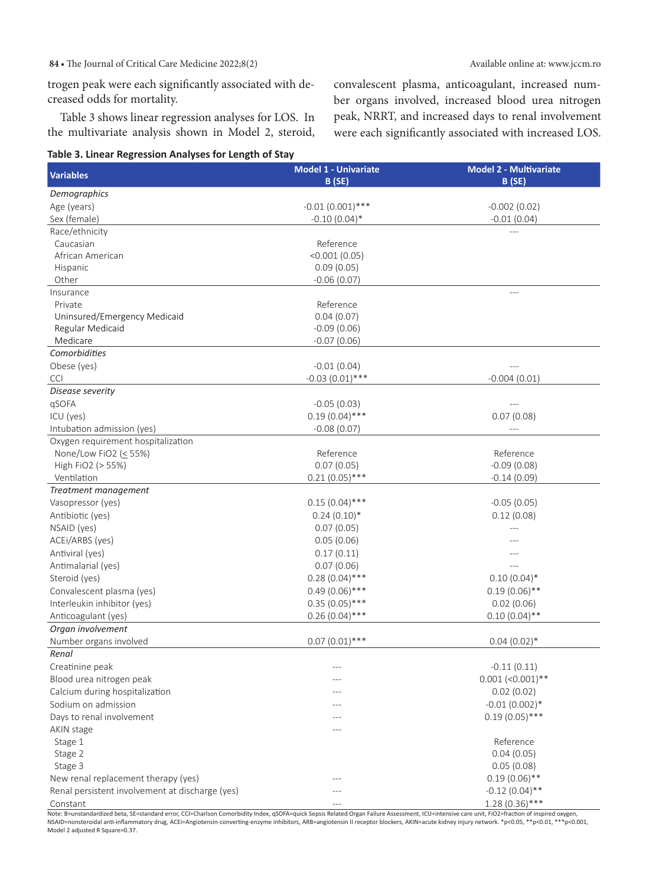84 • The Journal of Critical Care Medicine 2022;8(2)  $\blacksquare$  Available online at: www.jccm.ro

convalescent plasma, anticoagulant, increased number organs involved, increased blood urea nitrogen peak, NRRT, and increased days to renal involvement were each significantly associated with increased LOS.

trogen peak were each significantly associated with decreased odds for mortality.

Table 3 shows linear regression analyses for LOS. In the multivariate analysis shown in Model 2, steroid,

#### **Table 3. Linear Regression Analyses for Length of Stay**

**Variables Model 1 - Univariate B (SE) Model 2 - Multivariate B (SE)** *Demographics* Age (years) -0.01 (0.001)\*\*\* -0.01 (0.001)\*\*\* -0.002 (0.02) Sex (female) -0.10 (0.04)\* -0.10 -0.10 (0.04)\* -0.10 -0.10 -0.11 -0.11 -0.01 (0.04) Race/ethnicity Caucasian African American Hispanic Other Reference <0.001 (0.05) 0.09 (0.05) -0.06 (0.07) --- Insurance Private Uninsured/Emergency Medicaid Regular Medicaid Medicare Reference 0.04 (0.07) -0.09 (0.06) -0.07 (0.06) --- *Comorbidities* Obese (yes) -0.01 (0.04) --- CCI -0.03 (0.01) \*\*\* -0.03 (0.01) -0.03 (0.01) -0.004 (0.01) *Disease severity* qSOFA -0.05 (0.03) --- ICU (yes) 0.19 (0.04)\*\*\* 0.07 (0.08) Intubation admission (yes)  $-0.08$  (0.07) Oxygen requirement hospitalization None/Low FiO2 ( $\leq$  55%) High FiO2 (> 55%) Ventilation Reference 0.07 (0.05)  $0.21(0.05)$ \*\*\* Reference -0.09 (0.08) -0.14 (0.09) *Treatment management* Vasopressor (yes)  $0.15 (0.04)$ \*\*\*  $-0.05 (0.05)$ Antibiotic (yes) 0.24 (0.10)\* 0.24 (0.10)\* 0.24 (0.10) 0.24 (0.10) 0.24 (0.10) 0.12 (0.08) NSAID (yes) 0.07 (0.05) --- ACEi/ARBS (yes) 0.05 (0.06) --- Antiviral (yes) 0.17 (0.11) --- Antimalarial (yes) 6.07 (0.06) Steroid (yes) 0.28 (0.04)\*\*\* 0.10 (0.04)\* 0.10 (0.04)\* 0.10 (0.04)<br>
Convalescent plasma (yes) 0.49 (0.06)\*\*\* 0.49 (0.06)\*\*\* 0.19 (0.06)\* Convalescent plasma (yes)  $0.49(0.06)$ \*\*\*  $0.49(0.06)$ \*\*\*  $0.19(0.06)$ \*\* Interleukin inhibitor (yes)  $0.35 (0.05)***$  0.02 (0.06)<br>Anticoagulant (yes) 0.02 (0.04)\*\*\* 0.10 (0.04)\* Anticoagulant (yes) 0.26 (0.04)<sup>\*\*\*</sup> 0.26 (0.04)<sup>\*\*\*</sup> 0.10 (0.04)<sup>\*\*</sup> *Organ involvement* Number organs involved 0.07 (0.01)<sup>\*\*\*</sup> 0.07 (0.01)<sup>\*\*\*</sup> 0.04 (0.02)<sup>\*</sup> *Renal* Creatinine peak --- -0.11 (0.11) Blood urea nitrogen peak  $-$ -- 0.001 (<0.001)\*\* Calcium during hospitalization and the control of the control of the control of the control of the control of the control of the control of the control of the control of the control of the control of the control of the con Sodium on admission --- -0.01 (0.002)\* Days to renal involvement and the contract of the contract of the contract of the contract of the contract of the contract of the contract of the contract of the contract of the contract of the contract of the contract of AKIN stage Stage 1 Stage 2 Stage 3 --- Reference 0.04 (0.05) 0.05 (0.08) New renal replacement therapy (yes) --- 0.19 (0.06)\*\* Renal persistent involvement at discharge (yes) --- -0.12 (0.04)\*\* Constant 1.28 (0.36)\*\*\* 1.28 (0.36)

Note: B=unstandardized beta, SE=standard error, CCI=Charlson Comorbidity Index, qSOFA=quick Sepsis Related Organ Failure Assessment, ICU=intensive care unit, FiO2=fraction of inspired oxygen,<br>NSAID=nonsteroidal anti-infla Model 2 adjusted R Square=0.37.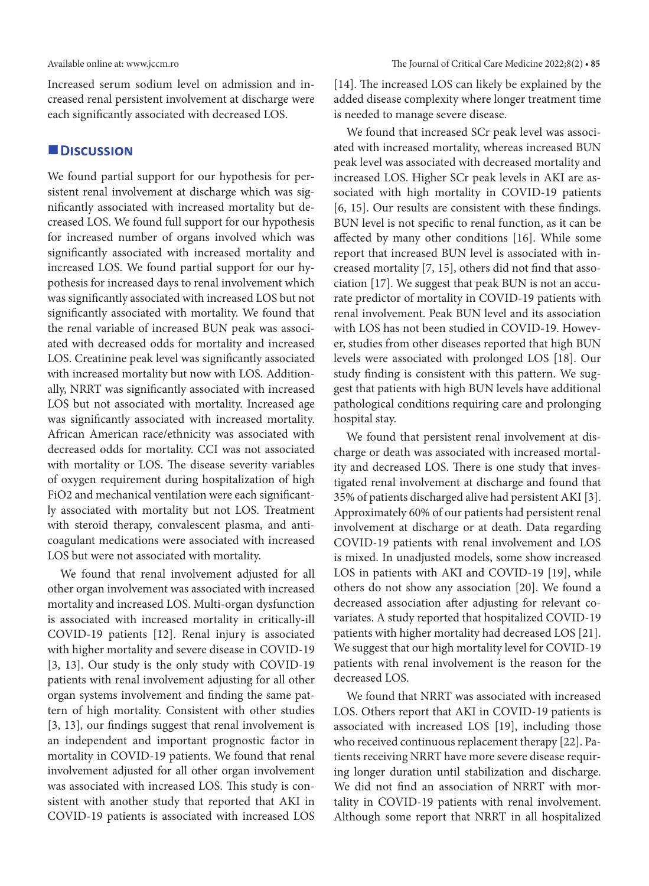Increased serum sodium level on admission and increased renal persistent involvement at discharge were each significantly associated with decreased LOS.

## **Discussion**

We found partial support for our hypothesis for persistent renal involvement at discharge which was significantly associated with increased mortality but decreased LOS. We found full support for our hypothesis for increased number of organs involved which was significantly associated with increased mortality and increased LOS. We found partial support for our hypothesis for increased days to renal involvement which was significantly associated with increased LOS but not significantly associated with mortality. We found that the renal variable of increased BUN peak was associated with decreased odds for mortality and increased LOS. Creatinine peak level was significantly associated with increased mortality but now with LOS. Additionally, NRRT was significantly associated with increased LOS but not associated with mortality. Increased age was significantly associated with increased mortality. African American race/ethnicity was associated with decreased odds for mortality. CCI was not associated with mortality or LOS. The disease severity variables of oxygen requirement during hospitalization of high FiO2 and mechanical ventilation were each significantly associated with mortality but not LOS. Treatment with steroid therapy, convalescent plasma, and anticoagulant medications were associated with increased LOS but were not associated with mortality.

We found that renal involvement adjusted for all other organ involvement was associated with increased mortality and increased LOS. Multi-organ dysfunction is associated with increased mortality in critically-ill COVID-19 patients [12]. Renal injury is associated with higher mortality and severe disease in COVID-19 [3, 13]. Our study is the only study with COVID-19 patients with renal involvement adjusting for all other organ systems involvement and finding the same pattern of high mortality. Consistent with other studies [3, 13], our findings suggest that renal involvement is an independent and important prognostic factor in mortality in COVID-19 patients. We found that renal involvement adjusted for all other organ involvement was associated with increased LOS. This study is consistent with another study that reported that AKI in COVID-19 patients is associated with increased LOS [14]. The increased LOS can likely be explained by the added disease complexity where longer treatment time is needed to manage severe disease.

We found that increased SCr peak level was associated with increased mortality, whereas increased BUN peak level was associated with decreased mortality and increased LOS. Higher SCr peak levels in AKI are associated with high mortality in COVID-19 patients [6, 15]. Our results are consistent with these findings. BUN level is not specific to renal function, as it can be affected by many other conditions [16]. While some report that increased BUN level is associated with increased mortality [7, 15], others did not find that association [17]. We suggest that peak BUN is not an accurate predictor of mortality in COVID-19 patients with renal involvement. Peak BUN level and its association with LOS has not been studied in COVID-19. However, studies from other diseases reported that high BUN levels were associated with prolonged LOS [18]. Our study finding is consistent with this pattern. We suggest that patients with high BUN levels have additional pathological conditions requiring care and prolonging hospital stay.

We found that persistent renal involvement at discharge or death was associated with increased mortality and decreased LOS. There is one study that investigated renal involvement at discharge and found that 35% of patients discharged alive had persistent AKI [3]. Approximately 60% of our patients had persistent renal involvement at discharge or at death. Data regarding COVID-19 patients with renal involvement and LOS is mixed. In unadjusted models, some show increased LOS in patients with AKI and COVID-19 [19], while others do not show any association [20]. We found a decreased association after adjusting for relevant covariates. A study reported that hospitalized COVID-19 patients with higher mortality had decreased LOS [21]. We suggest that our high mortality level for COVID-19 patients with renal involvement is the reason for the decreased LOS.

We found that NRRT was associated with increased LOS. Others report that AKI in COVID-19 patients is associated with increased LOS [19], including those who received continuous replacement therapy [22]. Patients receiving NRRT have more severe disease requiring longer duration until stabilization and discharge. We did not find an association of NRRT with mortality in COVID-19 patients with renal involvement. Although some report that NRRT in all hospitalized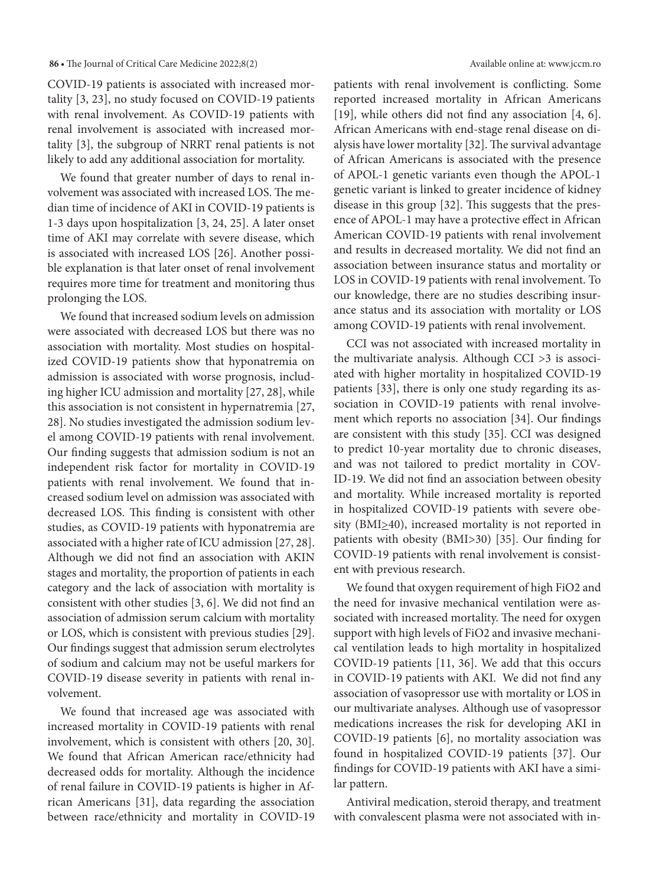#### **86 •** The Journal of Critical Care Medicine 2022;8(2) Available online at: www.jccm.ro

COVID-19 patients is associated with increased mortality [3, 23], no study focused on COVID-19 patients with renal involvement. As COVID-19 patients with renal involvement is associated with increased mortality [3], the subgroup of NRRT renal patients is not likely to add any additional association for mortality.

We found that greater number of days to renal involvement was associated with increased LOS. The median time of incidence of AKI in COVID-19 patients is 1-3 days upon hospitalization [3, 24, 25]. A later onset time of AKI may correlate with severe disease, which is associated with increased LOS [26]. Another possible explanation is that later onset of renal involvement requires more time for treatment and monitoring thus prolonging the LOS.

We found that increased sodium levels on admission were associated with decreased LOS but there was no association with mortality. Most studies on hospitalized COVID-19 patients show that hyponatremia on admission is associated with worse prognosis, including higher ICU admission and mortality [27, 28], while this association is not consistent in hypernatremia [27, 28]. No studies investigated the admission sodium level among COVID-19 patients with renal involvement. Our finding suggests that admission sodium is not an independent risk factor for mortality in COVID-19 patients with renal involvement. We found that increased sodium level on admission was associated with decreased LOS. This finding is consistent with other studies, as COVID-19 patients with hyponatremia are associated with a higher rate of ICU admission [27, 28]. Although we did not find an association with AKIN stages and mortality, the proportion of patients in each category and the lack of association with mortality is consistent with other studies [3, 6]. We did not find an association of admission serum calcium with mortality or LOS, which is consistent with previous studies [29]. Our findings suggest that admission serum electrolytes of sodium and calcium may not be useful markers for COVID-19 disease severity in patients with renal involvement.

We found that increased age was associated with increased mortality in COVID-19 patients with renal involvement, which is consistent with others [20, 30]. We found that African American race/ethnicity had decreased odds for mortality. Although the incidence of renal failure in COVID-19 patients is higher in African Americans [31], data regarding the association between race/ethnicity and mortality in COVID-19 patients with renal involvement is conflicting. Some reported increased mortality in African Americans [19], while others did not find any association [4, 6]. African Americans with end-stage renal disease on dialysis have lower mortality [32]. The survival advantage of African Americans is associated with the presence of APOL-1 genetic variants even though the APOL-1 genetic variant is linked to greater incidence of kidney disease in this group [32]. This suggests that the presence of APOL-1 may have a protective effect in African American COVID-19 patients with renal involvement and results in decreased mortality. We did not find an association between insurance status and mortality or LOS in COVID-19 patients with renal involvement. To our knowledge, there are no studies describing insurance status and its association with mortality or LOS among COVID-19 patients with renal involvement.

CCI was not associated with increased mortality in the multivariate analysis. Although CCI >3 is associated with higher mortality in hospitalized COVID-19 patients [33], there is only one study regarding its association in COVID-19 patients with renal involvement which reports no association [34]. Our findings are consistent with this study [35]. CCI was designed to predict 10-year mortality due to chronic diseases, and was not tailored to predict mortality in COV-ID-19. We did not find an association between obesity and mortality. While increased mortality is reported in hospitalized COVID-19 patients with severe obesity (BMI $\geq$ 40), increased mortality is not reported in patients with obesity (BMI>30) [35]. Our finding for COVID-19 patients with renal involvement is consistent with previous research.

We found that oxygen requirement of high FiO2 and the need for invasive mechanical ventilation were associated with increased mortality. The need for oxygen support with high levels of FiO2 and invasive mechanical ventilation leads to high mortality in hospitalized COVID-19 patients [11, 36]. We add that this occurs in COVID-19 patients with AKI. We did not find any association of vasopressor use with mortality or LOS in our multivariate analyses. Although use of vasopressor medications increases the risk for developing AKI in COVID-19 patients [6], no mortality association was found in hospitalized COVID-19 patients [37]. Our findings for COVID-19 patients with AKI have a similar pattern.

Antiviral medication, steroid therapy, and treatment with convalescent plasma were not associated with in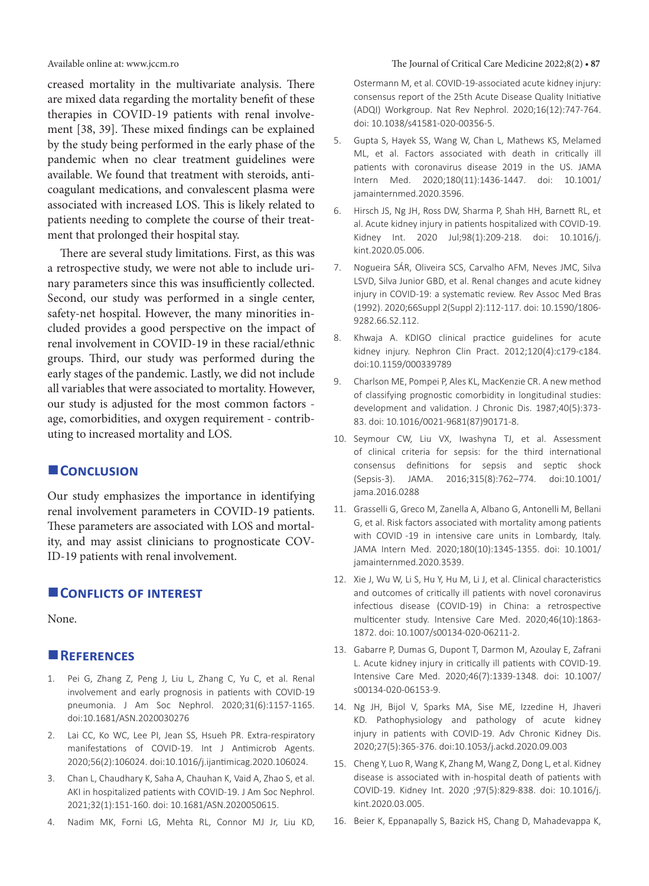creased mortality in the multivariate analysis. There are mixed data regarding the mortality benefit of these therapies in COVID-19 patients with renal involvement [38, 39]. These mixed findings can be explained by the study being performed in the early phase of the pandemic when no clear treatment guidelines were available. We found that treatment with steroids, anticoagulant medications, and convalescent plasma were associated with increased LOS. This is likely related to patients needing to complete the course of their treatment that prolonged their hospital stay.

There are several study limitations. First, as this was a retrospective study, we were not able to include urinary parameters since this was insufficiently collected. Second, our study was performed in a single center, safety-net hospital. However, the many minorities included provides a good perspective on the impact of renal involvement in COVID-19 in these racial/ethnic groups. Third, our study was performed during the early stages of the pandemic. Lastly, we did not include all variables that were associated to mortality. However, our study is adjusted for the most common factors age, comorbidities, and oxygen requirement - contributing to increased mortality and LOS.

# **CONCLUSION**

Our study emphasizes the importance in identifying renal involvement parameters in COVID-19 patients. These parameters are associated with LOS and mortality, and may assist clinicians to prognosticate COV-ID-19 patients with renal involvement.

# **CONFLICTS OF INTEREST**

None.

## **References**

- 1. Pei G, Zhang Z, Peng J, Liu L, Zhang C, Yu C, et al. Renal involvement and early prognosis in patients with COVID-19 pneumonia. J Am Soc Nephrol. 2020;31(6):1157-1165. doi:10.1681/ASN.2020030276
- 2. Lai CC, Ko WC, Lee PI, Jean SS, Hsueh PR. Extra-respiratory manifestations of COVID-19. Int J Antimicrob Agents. 2020;56(2):106024. doi:10.1016/j.ijantimicag.2020.106024.
- 3. Chan L, Chaudhary K, Saha A, Chauhan K, Vaid A, Zhao S, et al. AKI in hospitalized patients with COVID-19. J Am Soc Nephrol. 2021;32(1):151-160. doi: 10.1681/ASN.2020050615.
- 4. Nadim MK, Forni LG, Mehta RL, Connor MJ Jr, Liu KD,

Ostermann M, et al. COVID-19-associated acute kidney injury: consensus report of the 25th Acute Disease Quality Initiative (ADQI) Workgroup. Nat Rev Nephrol. 2020;16(12):747-764. doi: 10.1038/s41581-020-00356-5.

- 5. Gupta S, Hayek SS, Wang W, Chan L, Mathews KS, Melamed ML, et al. Factors associated with death in critically ill patients with coronavirus disease 2019 in the US. JAMA Intern Med. 2020;180(11):1436-1447. doi: 10.1001/ jamainternmed.2020.3596.
- 6. Hirsch JS, Ng JH, Ross DW, Sharma P, Shah HH, Barnett RL, et al. Acute kidney injury in patients hospitalized with COVID-19. Kidney Int. 2020 Jul;98(1):209-218. doi: 10.1016/j. kint.2020.05.006.
- 7. Nogueira SÁR, Oliveira SCS, Carvalho AFM, Neves JMC, Silva LSVD, Silva Junior GBD, et al. Renal changes and acute kidney injury in COVID-19: a systematic review. Rev Assoc Med Bras (1992). 2020;66Suppl 2(Suppl 2):112-117. doi: 10.1590/1806- 9282.66.S2.112.
- 8. Khwaja A. KDIGO clinical practice guidelines for acute kidney injury. Nephron Clin Pract. 2012;120(4):c179-c184. doi:10.1159/000339789
- 9. Charlson ME, Pompei P, Ales KL, MacKenzie CR. A new method of classifying prognostic comorbidity in longitudinal studies: development and validation. J Chronic Dis. 1987;40(5):373- 83. doi: 10.1016/0021-9681(87)90171-8.
- 10. Seymour CW, Liu VX, Iwashyna TJ, et al. Assessment of clinical criteria for sepsis: for the third international consensus definitions for sepsis and septic shock (Sepsis-3). JAMA. 2016;315(8):762–774. doi:10.1001/ jama.2016.0288
- 11. Grasselli G, Greco M, Zanella A, Albano G, Antonelli M, Bellani G, et al. Risk factors associated with mortality among patients with COVID -19 in intensive care units in Lombardy, Italy. JAMA Intern Med. 2020;180(10):1345-1355. doi: 10.1001/ jamainternmed.2020.3539.
- 12. Xie J, Wu W, Li S, Hu Y, Hu M, Li J, et al. Clinical characteristics and outcomes of critically ill patients with novel coronavirus infectious disease (COVID-19) in China: a retrospective multicenter study. Intensive Care Med. 2020;46(10):1863- 1872. doi: 10.1007/s00134-020-06211-2.
- 13. Gabarre P, Dumas G, Dupont T, Darmon M, Azoulay E, Zafrani L. Acute kidney injury in critically ill patients with COVID-19. Intensive Care Med. 2020;46(7):1339-1348. doi: 10.1007/ s00134-020-06153-9.
- 14. Ng JH, Bijol V, Sparks MA, Sise ME, Izzedine H, Jhaveri KD. Pathophysiology and pathology of acute kidney injury in patients with COVID-19. Adv Chronic Kidney Dis. 2020;27(5):365-376. doi:10.1053/j.ackd.2020.09.003
- 15. Cheng Y, Luo R, Wang K, Zhang M, Wang Z, Dong L, et al. Kidney disease is associated with in-hospital death of patients with COVID-19. Kidney Int. 2020 ;97(5):829-838. doi: 10.1016/j. kint.2020.03.005.
- 16. Beier K, Eppanapally S, Bazick HS, Chang D, Mahadevappa K,